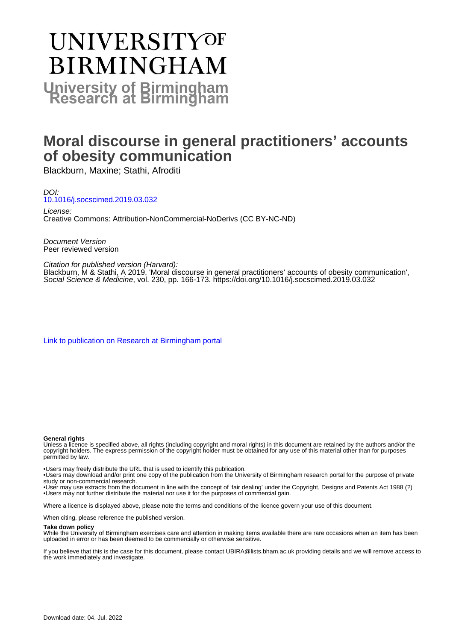# **UNIVERSITYOF BIRMINGHAM University of Birmingham**

# **Moral discourse in general practitioners' accounts of obesity communication**

Blackburn, Maxine; Stathi, Afroditi

DOI: [10.1016/j.socscimed.2019.03.032](https://doi.org/10.1016/j.socscimed.2019.03.032) License:

Creative Commons: Attribution-NonCommercial-NoDerivs (CC BY-NC-ND)

Document Version Peer reviewed version

#### Citation for published version (Harvard):

Blackburn, M & Stathi, A 2019, 'Moral discourse in general practitioners' accounts of obesity communication', Social Science & Medicine, vol. 230, pp. 166-173. <https://doi.org/10.1016/j.socscimed.2019.03.032>

[Link to publication on Research at Birmingham portal](https://birmingham.elsevierpure.com/en/publications/e6943bc4-e8c5-4918-9fd1-a4b91640e6ed)

#### **General rights**

Unless a licence is specified above, all rights (including copyright and moral rights) in this document are retained by the authors and/or the copyright holders. The express permission of the copyright holder must be obtained for any use of this material other than for purposes permitted by law.

• Users may freely distribute the URL that is used to identify this publication.

• Users may download and/or print one copy of the publication from the University of Birmingham research portal for the purpose of private study or non-commercial research.

• User may use extracts from the document in line with the concept of 'fair dealing' under the Copyright, Designs and Patents Act 1988 (?) • Users may not further distribute the material nor use it for the purposes of commercial gain.

Where a licence is displayed above, please note the terms and conditions of the licence govern your use of this document.

When citing, please reference the published version.

#### **Take down policy**

While the University of Birmingham exercises care and attention in making items available there are rare occasions when an item has been uploaded in error or has been deemed to be commercially or otherwise sensitive.

If you believe that this is the case for this document, please contact UBIRA@lists.bham.ac.uk providing details and we will remove access to the work immediately and investigate.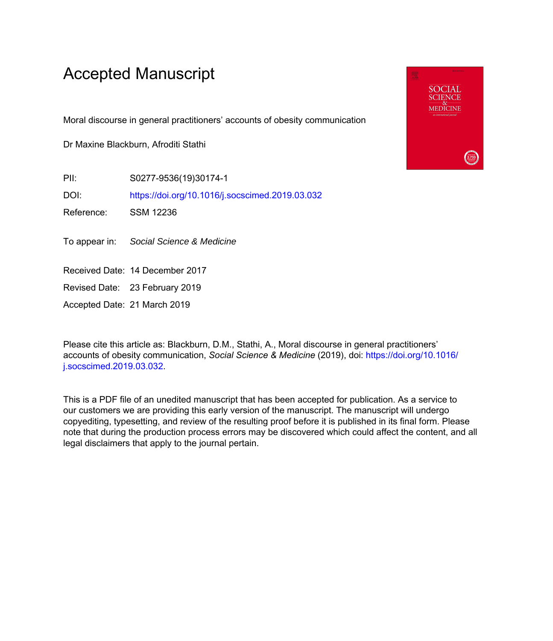# Accepted Manuscript

Moral discourse in general practitioners' accounts of obesity communication

Dr Maxine Blackburn, Afroditi Stathi

PII: S0277-9536(19)30174-1

DOI: <https://doi.org/10.1016/j.socscimed.2019.03.032>

Reference: SSM 12236

To appear in: Social Science & Medicine

Received Date: 14 December 2017

Revised Date: 23 February 2019

Accepted Date: 21 March 2019

Please cite this article as: Blackburn, D.M., Stathi, A., Moral discourse in general practitioners' accounts of obesity communication, *Social Science & Medicine* (2019), doi: [https://doi.org/10.1016/](https://doi.org/10.1016/j.socscimed.2019.03.032) [j.socscimed.2019.03.032.](https://doi.org/10.1016/j.socscimed.2019.03.032)

This is a PDF file of an unedited manuscript that has been accepted for publication. As a service to our customers we are providing this early version of the manuscript. The manuscript will undergo copyediting, typesetting, and review of the resulting proof before it is published in its final form. Please note that during the production process errors may be discovered which could affect the content, and all legal disclaimers that apply to the journal pertain.

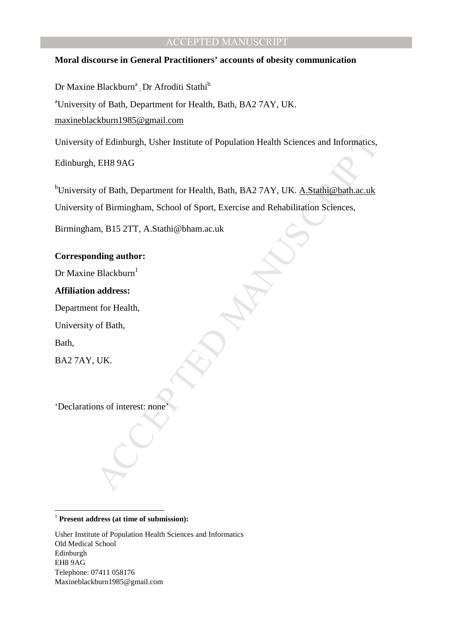#### **Moral discourse in General Practitioners' accounts of obesity communication**

Dr Maxine Blackburn<sup>a</sup> ; Dr Afroditi Stathi<sup>b</sup>

<sup>a</sup>University of Bath, Department for Health, Bath, BA2 7AY, UK.

maxineblackburn1985@gmail.com

University of Edinburgh, Usher Institute of Population Health Sciences and Informatics,

Edinburgh, EH8 9AG

of Edinburgh, Usher Institute of Population Health Sciences and Informatics,<br>
EH8 9AG<br>
vof Bath, Department for Health, Bath, BA2 7AY, UK. <u>A.Stathi@bath.ac.uk</u><br>
of Birmingham, School of Sport, Exercise and Rehabilitation bUniversity of Bath, Department for Health, Bath, BA2 7AY, UK. A.Stathi@bath.ac.uk University of Birmingham, School of Sport, Exercise and Rehabilitation Sciences,

Birmingham, B15 2TT, A.Stathi@bham.ac.uk

#### **Corresponding author:**

Dr Maxine Blackburn $<sup>1</sup>$ </sup>

#### **Affiliation address:**

Department for Health,

University of Bath,

Bath,

 $\overline{a}$ 

BA2 7AY, UK.

'Declarations of interest: none'

#### <sup>1</sup> **Present address (at time of submission):**

Usher Institute of Population Health Sciences and Informatics Old Medical School Edinburgh EH8 9AG Telephone: 07411 058176 Maxineblackburn1985@gmail.com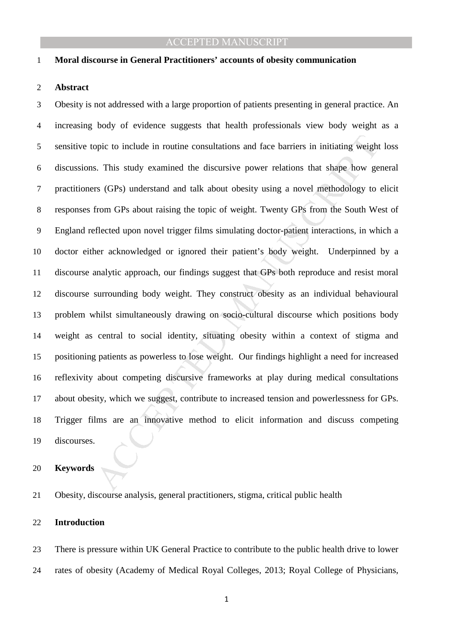#### **Moral discourse in General Practitioners' accounts of obesity communication**

#### **Abstract**

opic to include in routine consultations and face barriers in initiating weights.<br>
S. This study examined the discursive power relations that shape how gets (GPs) understand and talk about obesity using a novel methodology Obesity is not addressed with a large proportion of patients presenting in general practice. An increasing body of evidence suggests that health professionals view body weight as a sensitive topic to include in routine consultations and face barriers in initiating weight loss discussions. This study examined the discursive power relations that shape how general practitioners (GPs) understand and talk about obesity using a novel methodology to elicit responses from GPs about raising the topic of weight. Twenty GPs from the South West of England reflected upon novel trigger films simulating doctor-patient interactions, in which a doctor either acknowledged or ignored their patient's body weight. Underpinned by a discourse analytic approach, our findings suggest that GPs both reproduce and resist moral discourse surrounding body weight. They construct obesity as an individual behavioural problem whilst simultaneously drawing on socio-cultural discourse which positions body weight as central to social identity, situating obesity within a context of stigma and positioning patients as powerless to lose weight. Our findings highlight a need for increased reflexivity about competing discursive frameworks at play during medical consultations about obesity, which we suggest, contribute to increased tension and powerlessness for GPs. Trigger films are an innovative method to elicit information and discuss competing discourses.

#### **Keywords**

Obesity, discourse analysis, general practitioners, stigma, critical public health

#### **Introduction**

There is pressure within UK General Practice to contribute to the public health drive to lower rates of obesity (Academy of Medical Royal Colleges, 2013; Royal College of Physicians,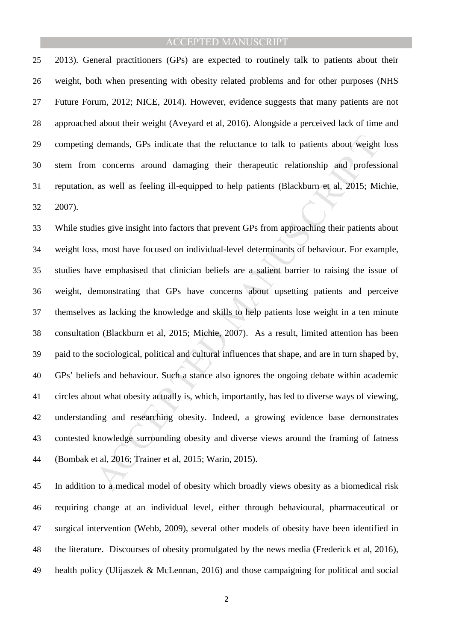2013). General practitioners (GPs) are expected to routinely talk to patients about their weight, both when presenting with obesity related problems and for other purposes (NHS Future Forum, 2012; NICE, 2014). However, evidence suggests that many patients are not approached about their weight (Aveyard et al, 2016). Alongside a perceived lack of time and competing demands, GPs indicate that the reluctance to talk to patients about weight loss stem from concerns around damaging their therapeutic relationship and professional reputation, as well as feeling ill-equipped to help patients (Blackburn et al, 2015; Michie, 2007).

demands, GPs indicate that the reluctance to talk to patients about weight<br>a concerns around damaging their therapeutic relationship and profess<br>as well as feeling ill-equipped to help patients (Blackburn et al, 2015; Mi<br>l While studies give insight into factors that prevent GPs from approaching their patients about weight loss, most have focused on individual-level determinants of behaviour. For example, studies have emphasised that clinician beliefs are a salient barrier to raising the issue of weight, demonstrating that GPs have concerns about upsetting patients and perceive themselves as lacking the knowledge and skills to help patients lose weight in a ten minute consultation (Blackburn et al, 2015; Michie, 2007). As a result, limited attention has been paid to the sociological, political and cultural influences that shape, and are in turn shaped by, GPs' beliefs and behaviour. Such a stance also ignores the ongoing debate within academic circles about what obesity actually is, which, importantly, has led to diverse ways of viewing, understanding and researching obesity. Indeed, a growing evidence base demonstrates contested knowledge surrounding obesity and diverse views around the framing of fatness (Bombak et al, 2016; Trainer et al, 2015; Warin, 2015).

In addition to a medical model of obesity which broadly views obesity as a biomedical risk requiring change at an individual level, either through behavioural, pharmaceutical or surgical intervention (Webb, 2009), several other models of obesity have been identified in the literature. Discourses of obesity promulgated by the news media (Frederick et al, 2016), health policy (Ulijaszek & McLennan, 2016) and those campaigning for political and social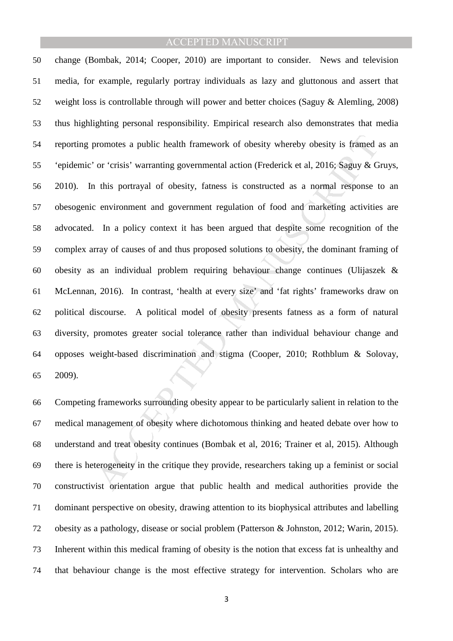by obesity is framed or crisis' warranting governmental action (Frederick et al., 2016; Saguy & G<br>or 'crisis' warranting governmental action (Frederick et al., 2016; Saguy & G<br>or this portrayal of obesity, fatness is const change (Bombak, 2014; Cooper, 2010) are important to consider. News and television media, for example, regularly portray individuals as lazy and gluttonous and assert that weight loss is controllable through will power and better choices (Saguy & Alemling, 2008) thus highlighting personal responsibility. Empirical research also demonstrates that media reporting promotes a public health framework of obesity whereby obesity is framed as an 'epidemic' or 'crisis' warranting governmental action (Frederick et al, 2016; Saguy & Gruys, 2010). In this portrayal of obesity, fatness is constructed as a normal response to an obesogenic environment and government regulation of food and marketing activities are advocated. In a policy context it has been argued that despite some recognition of the complex array of causes of and thus proposed solutions to obesity, the dominant framing of obesity as an individual problem requiring behaviour change continues (Ulijaszek & McLennan, 2016). In contrast, 'health at every size' and 'fat rights' frameworks draw on political discourse. A political model of obesity presents fatness as a form of natural diversity, promotes greater social tolerance rather than individual behaviour change and opposes weight-based discrimination and stigma (Cooper, 2010; Rothblum & Solovay, 2009).

Competing frameworks surrounding obesity appear to be particularly salient in relation to the medical management of obesity where dichotomous thinking and heated debate over how to understand and treat obesity continues (Bombak et al, 2016; Trainer et al, 2015). Although there is heterogeneity in the critique they provide, researchers taking up a feminist or social constructivist orientation argue that public health and medical authorities provide the dominant perspective on obesity, drawing attention to its biophysical attributes and labelling obesity as a pathology, disease or social problem (Patterson & Johnston, 2012; Warin, 2015). Inherent within this medical framing of obesity is the notion that excess fat is unhealthy and that behaviour change is the most effective strategy for intervention. Scholars who are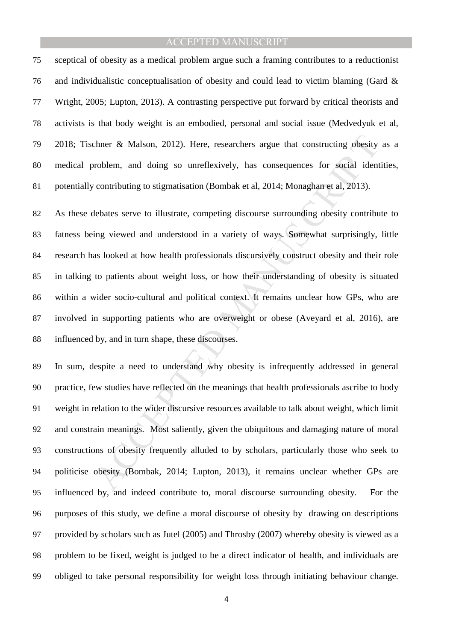sceptical of obesity as a medical problem argue such a framing contributes to a reductionist 76 and individualistic conceptualisation of obesity and could lead to victim blaming (Gard  $\&$ Wright, 2005; Lupton, 2013). A contrasting perspective put forward by critical theorists and activists is that body weight is an embodied, personal and social issue (Medvedyuk et al, 2018; Tischner & Malson, 2012). Here, researchers argue that constructing obesity as a medical problem, and doing so unreflexively, has consequences for social identities, potentially contributing to stigmatisation (Bombak et al, 2014; Monaghan et al, 2013).

there & Malson, 2012). Here, researchers argue that constructing obesity<br>roblem, and doing so unreflexively, has consequences for social ident<br>contributing to stigmatisation (Bombak et al. 2014; Monaghan et al. 2013).<br>leba As these debates serve to illustrate, competing discourse surrounding obesity contribute to fatness being viewed and understood in a variety of ways. Somewhat surprisingly, little research has looked at how health professionals discursively construct obesity and their role in talking to patients about weight loss, or how their understanding of obesity is situated within a wider socio-cultural and political context. It remains unclear how GPs, who are involved in supporting patients who are overweight or obese (Aveyard et al, 2016), are influenced by, and in turn shape, these discourses.

In sum, despite a need to understand why obesity is infrequently addressed in general practice, few studies have reflected on the meanings that health professionals ascribe to body weight in relation to the wider discursive resources available to talk about weight, which limit and constrain meanings. Most saliently, given the ubiquitous and damaging nature of moral constructions of obesity frequently alluded to by scholars, particularly those who seek to politicise obesity (Bombak, 2014; Lupton, 2013), it remains unclear whether GPs are influenced by, and indeed contribute to, moral discourse surrounding obesity. For the purposes of this study, we define a moral discourse of obesity by drawing on descriptions provided by scholars such as Jutel (2005) and Throsby (2007) whereby obesity is viewed as a problem to be fixed, weight is judged to be a direct indicator of health, and individuals are obliged to take personal responsibility for weight loss through initiating behaviour change.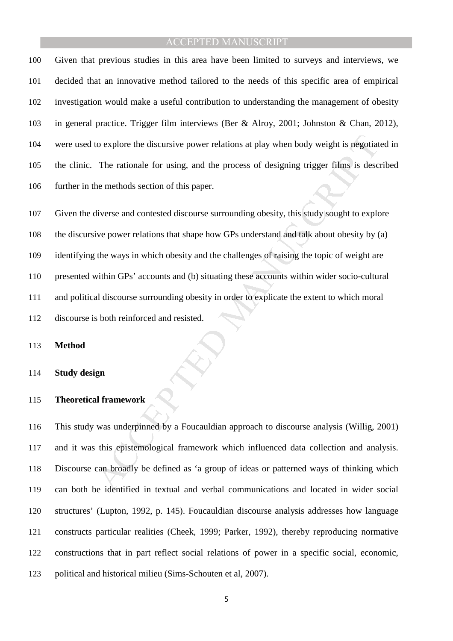Given that previous studies in this area have been limited to surveys and interviews, we decided that an innovative method tailored to the needs of this specific area of empirical investigation would make a useful contribution to understanding the management of obesity in general practice. Trigger film interviews (Ber & Alroy, 2001; Johnston & Chan, 2012), were used to explore the discursive power relations at play when body weight is negotiated in the clinic. The rationale for using, and the process of designing trigger films is described further in the methods section of this paper.

to explore the discursive power relations at play when body weight is negotiat<br>The rationale for using, and the process of designing trigger films is desc<br>the methods section of this paper.<br>diverse and contested discourse Given the diverse and contested discourse surrounding obesity, this study sought to explore the discursive power relations that shape how GPs understand and talk about obesity by (a) identifying the ways in which obesity and the challenges of raising the topic of weight are presented within GPs' accounts and (b) situating these accounts within wider socio-cultural and political discourse surrounding obesity in order to explicate the extent to which moral discourse is both reinforced and resisted.

#### **Method**

#### **Study design**

#### **Theoretical framework**

This study was underpinned by a Foucauldian approach to discourse analysis (Willig, 2001) and it was this epistemological framework which influenced data collection and analysis. Discourse can broadly be defined as 'a group of ideas or patterned ways of thinking which can both be identified in textual and verbal communications and located in wider social structures' (Lupton, 1992, p. 145). Foucauldian discourse analysis addresses how language constructs particular realities (Cheek, 1999; Parker, 1992), thereby reproducing normative constructions that in part reflect social relations of power in a specific social, economic, political and historical milieu (Sims-Schouten et al, 2007).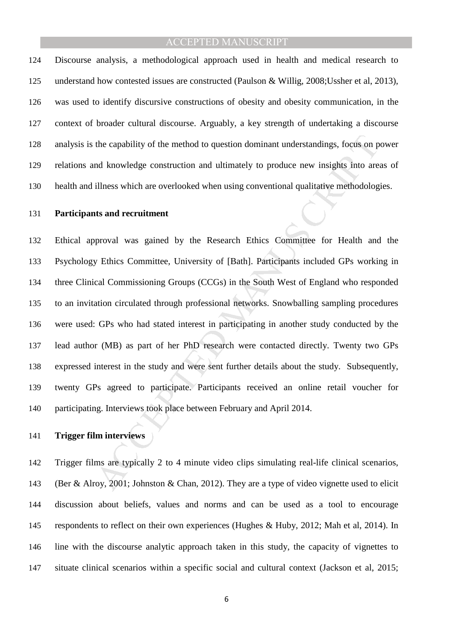Discourse analysis, a methodological approach used in health and medical research to understand how contested issues are constructed (Paulson & Willig, 2008;Ussher et al, 2013), was used to identify discursive constructions of obesity and obesity communication, in the context of broader cultural discourse. Arguably, a key strength of undertaking a discourse analysis is the capability of the method to question dominant understandings, focus on power relations and knowledge construction and ultimately to produce new insights into areas of health and illness which are overlooked when using conventional qualitative methodologies.

#### **Participants and recruitment**

the capability of the method to question dominant understandings, focus on p<br>and knowledge construction and ultimately to produce new insights into are<br>illness which are overlooked when using conventional qualitative metho Ethical approval was gained by the Research Ethics Committee for Health and the Psychology Ethics Committee, University of [Bath]. Participants included GPs working in three Clinical Commissioning Groups (CCGs) in the South West of England who responded to an invitation circulated through professional networks. Snowballing sampling procedures were used: GPs who had stated interest in participating in another study conducted by the lead author (MB) as part of her PhD research were contacted directly. Twenty two GPs expressed interest in the study and were sent further details about the study. Subsequently, twenty GPs agreed to participate. Participants received an online retail voucher for participating. Interviews took place between February and April 2014.

#### **Trigger film interviews**

Trigger films are typically 2 to 4 minute video clips simulating real-life clinical scenarios, (Ber & Alroy, 2001; Johnston & Chan, 2012). They are a type of video vignette used to elicit discussion about beliefs, values and norms and can be used as a tool to encourage respondents to reflect on their own experiences (Hughes & Huby, 2012; Mah et al, 2014). In line with the discourse analytic approach taken in this study, the capacity of vignettes to situate clinical scenarios within a specific social and cultural context (Jackson et al, 2015;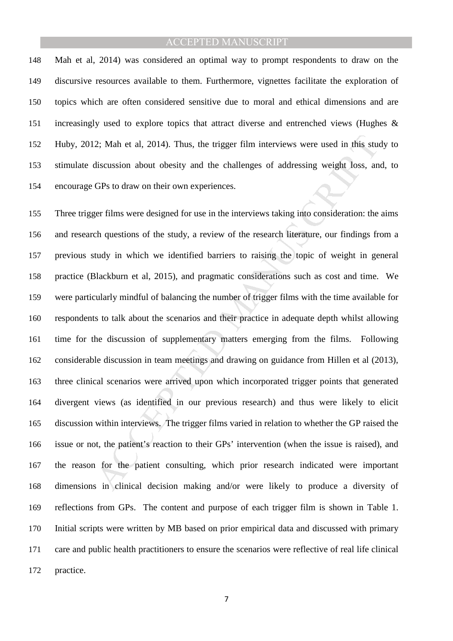Mah et al, 2014) was considered an optimal way to prompt respondents to draw on the discursive resources available to them. Furthermore, vignettes facilitate the exploration of topics which are often considered sensitive due to moral and ethical dimensions and are increasingly used to explore topics that attract diverse and entrenched views (Hughes & Huby, 2012; Mah et al, 2014). Thus, the trigger film interviews were used in this study to stimulate discussion about obesity and the challenges of addressing weight loss, and, to encourage GPs to draw on their own experiences.

2; Mah et al, 2014). Thus, the trigger film interviews were used in this studiscussion about obesity and the challenges of addressing weight loss, an GPs to draw on their own experiences.<br>
Eer films were designed for use i Three trigger films were designed for use in the interviews taking into consideration: the aims and research questions of the study, a review of the research literature, our findings from a previous study in which we identified barriers to raising the topic of weight in general practice (Blackburn et al, 2015), and pragmatic considerations such as cost and time. We were particularly mindful of balancing the number of trigger films with the time available for respondents to talk about the scenarios and their practice in adequate depth whilst allowing time for the discussion of supplementary matters emerging from the films. Following considerable discussion in team meetings and drawing on guidance from Hillen et al (2013), three clinical scenarios were arrived upon which incorporated trigger points that generated divergent views (as identified in our previous research) and thus were likely to elicit discussion within interviews. The trigger films varied in relation to whether the GP raised the issue or not, the patient's reaction to their GPs' intervention (when the issue is raised), and the reason for the patient consulting, which prior research indicated were important dimensions in clinical decision making and/or were likely to produce a diversity of reflections from GPs. The content and purpose of each trigger film is shown in Table 1. Initial scripts were written by MB based on prior empirical data and discussed with primary care and public health practitioners to ensure the scenarios were reflective of real life clinical practice.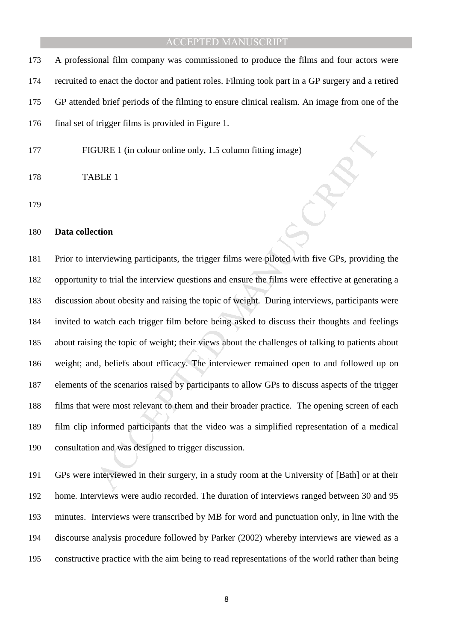A professional film company was commissioned to produce the films and four actors were recruited to enact the doctor and patient roles. Filming took part in a GP surgery and a retired GP attended brief periods of the filming to ensure clinical realism. An image from one of the final set of trigger films is provided in Figure 1.

FIGURE 1 (in colour online only, 1.5 column fitting image)

```
178 TABLE 1
```
#### **Data collection**

SURE 1 (in colour online only, 1.5 column fitting image)<br>
BLE 1<br>
BLE 1<br>
tion<br>
there is a column fitting image of the transfer of the transfer of the GPs, provided<br>
y to trial the interview questions and ensure the films we Prior to interviewing participants, the trigger films were piloted with five GPs, providing the opportunity to trial the interview questions and ensure the films were effective at generating a discussion about obesity and raising the topic of weight. During interviews, participants were invited to watch each trigger film before being asked to discuss their thoughts and feelings about raising the topic of weight; their views about the challenges of talking to patients about weight; and, beliefs about efficacy. The interviewer remained open to and followed up on elements of the scenarios raised by participants to allow GPs to discuss aspects of the trigger films that were most relevant to them and their broader practice. The opening screen of each film clip informed participants that the video was a simplified representation of a medical consultation and was designed to trigger discussion.

GPs were interviewed in their surgery, in a study room at the University of [Bath] or at their home. Interviews were audio recorded. The duration of interviews ranged between 30 and 95 minutes. Interviews were transcribed by MB for word and punctuation only, in line with the discourse analysis procedure followed by Parker (2002) whereby interviews are viewed as a constructive practice with the aim being to read representations of the world rather than being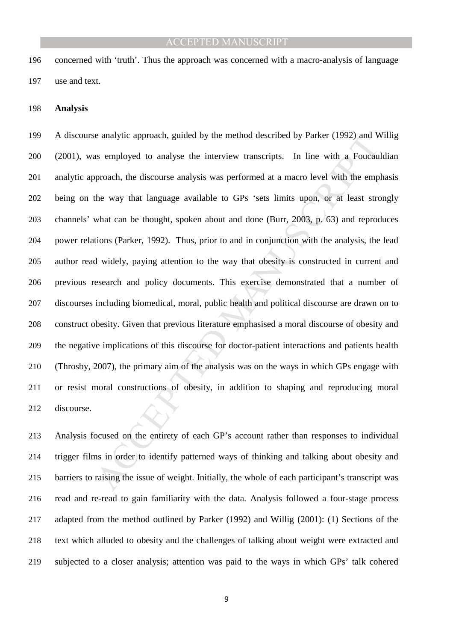concerned with 'truth'. Thus the approach was concerned with a macro-analysis of language use and text.

#### **Analysis**

e analytic approach, guided by the method described by Parker (1992) and v<br>as employed to analyse the interview transcripts. In line with a Foucau<br>proach, the discourse analysis was performed at a macro level with the emp<br> A discourse analytic approach, guided by the method described by Parker (1992) and Willig (2001), was employed to analyse the interview transcripts. In line with a Foucauldian analytic approach, the discourse analysis was performed at a macro level with the emphasis being on the way that language available to GPs 'sets limits upon, or at least strongly channels' what can be thought, spoken about and done (Burr, 2003, p. 63) and reproduces power relations (Parker, 1992). Thus, prior to and in conjunction with the analysis, the lead author read widely, paying attention to the way that obesity is constructed in current and previous research and policy documents. This exercise demonstrated that a number of discourses including biomedical, moral, public health and political discourse are drawn on to construct obesity. Given that previous literature emphasised a moral discourse of obesity and the negative implications of this discourse for doctor-patient interactions and patients health (Throsby, 2007), the primary aim of the analysis was on the ways in which GPs engage with or resist moral constructions of obesity, in addition to shaping and reproducing moral discourse.

Analysis focused on the entirety of each GP's account rather than responses to individual 214 trigger films in order to identify patterned ways of thinking and talking about obesity and barriers to raising the issue of weight. Initially, the whole of each participant's transcript was read and re-read to gain familiarity with the data. Analysis followed a four-stage process adapted from the method outlined by Parker (1992) and Willig (2001): (1) Sections of the text which alluded to obesity and the challenges of talking about weight were extracted and subjected to a closer analysis; attention was paid to the ways in which GPs' talk cohered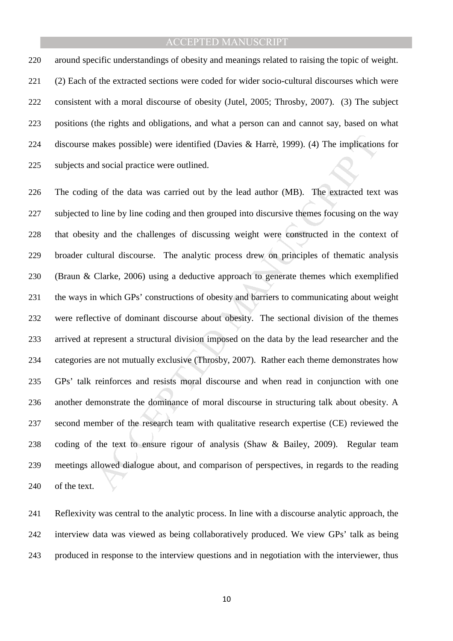around specific understandings of obesity and meanings related to raising the topic of weight. (2) Each of the extracted sections were coded for wider socio-cultural discourses which were consistent with a moral discourse of obesity (Jutel, 2005; Throsby, 2007). (3) The subject positions (the rights and obligations, and what a person can and cannot say, based on what discourse makes possible) were identified (Davies & Harrè, 1999). (4) The implications for subjects and social practice were outlined.

makes possible) were identified (Davies & Harrè, 1999). (4) The implication<br>of social practice were outlined.<br>g of the data was carried out by the lead author (MB). The extracted text<br>o line by line coding and then grouped The coding of the data was carried out by the lead author (MB). The extracted text was subjected to line by line coding and then grouped into discursive themes focusing on the way that obesity and the challenges of discussing weight were constructed in the context of broader cultural discourse. The analytic process drew on principles of thematic analysis (Braun & Clarke, 2006) using a deductive approach to generate themes which exemplified the ways in which GPs' constructions of obesity and barriers to communicating about weight were reflective of dominant discourse about obesity. The sectional division of the themes arrived at represent a structural division imposed on the data by the lead researcher and the categories are not mutually exclusive (Throsby, 2007). Rather each theme demonstrates how GPs' talk reinforces and resists moral discourse and when read in conjunction with one another demonstrate the dominance of moral discourse in structuring talk about obesity. A second member of the research team with qualitative research expertise (CE) reviewed the coding of the text to ensure rigour of analysis (Shaw & Bailey, 2009). Regular team meetings allowed dialogue about, and comparison of perspectives, in regards to the reading of the text.

Reflexivity was central to the analytic process. In line with a discourse analytic approach, the interview data was viewed as being collaboratively produced. We view GPs' talk as being produced in response to the interview questions and in negotiation with the interviewer, thus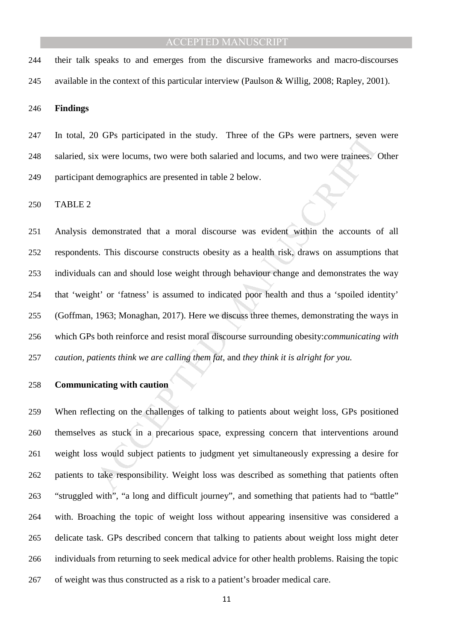their talk speaks to and emerges from the discursive frameworks and macro-discourses available in the context of this particular interview (Paulson & Willig, 2008; Rapley, 2001).

**Findings** 

In total, 20 GPs participated in the study. Three of the GPs were partners, seven were salaried, six were locums, two were both salaried and locums, and two were trainees. Other participant demographics are presented in table 2 below.

TABLE 2

of GFs participated in the study. Three of the GFs were partners, seven<br>
x were locums, two were both salaried and locums, and two were trainees. (<br>
demographics are presented in table 2 below.<br>
demonstrated that a moral d Analysis demonstrated that a moral discourse was evident within the accounts of all respondents. This discourse constructs obesity as a health risk, draws on assumptions that individuals can and should lose weight through behaviour change and demonstrates the way that 'weight' or 'fatness' is assumed to indicated poor health and thus a 'spoiled identity' (Goffman, 1963; Monaghan, 2017). Here we discuss three themes, demonstrating the ways in which GPs both reinforce and resist moral discourse surrounding obesity:*communicating with caution, patients think we are calling them fat*, and *they think it is alright for you.* 

#### **Communicating with caution**

When reflecting on the challenges of talking to patients about weight loss, GPs positioned themselves as stuck in a precarious space, expressing concern that interventions around weight loss would subject patients to judgment yet simultaneously expressing a desire for patients to take responsibility. Weight loss was described as something that patients often "struggled with", "a long and difficult journey", and something that patients had to "battle" with. Broaching the topic of weight loss without appearing insensitive was considered a delicate task. GPs described concern that talking to patients about weight loss might deter individuals from returning to seek medical advice for other health problems. Raising the topic of weight was thus constructed as a risk to a patient's broader medical care.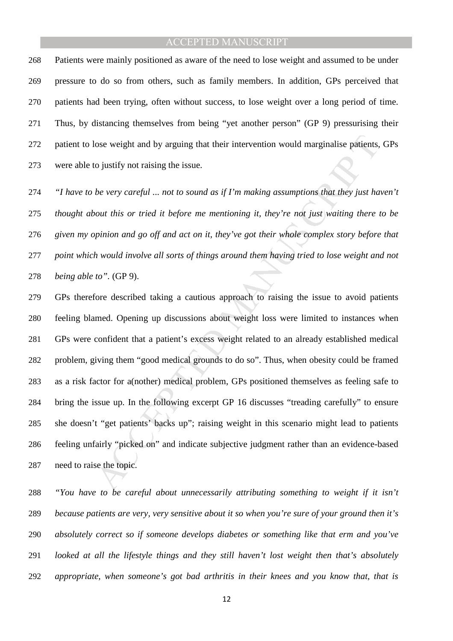Patients were mainly positioned as aware of the need to lose weight and assumed to be under pressure to do so from others, such as family members. In addition, GPs perceived that patients had been trying, often without success, to lose weight over a long period of time. Thus, by distancing themselves from being "yet another person" (GP 9) pressurising their patient to lose weight and by arguing that their intervention would marginalise patients, GPs were able to justify not raising the issue.

*"I have to be very careful ... not to sound as if I'm making assumptions that they just haven't thought about this or tried it before me mentioning it, they're not just waiting there to be given my opinion and go off and act on it, they've got their whole complex story before that point which would involve all sorts of things around them having tried to lose weight and not being able to".* (GP 9).

lose weight and by arguing that their intervention would marginalise patients,<br>
so justify not raising the issue.<br>
be very careful ... not to sound as if  $Tm$  making assumptions that they just ha<br>
bout this or tried it be GPs therefore described taking a cautious approach to raising the issue to avoid patients feeling blamed. Opening up discussions about weight loss were limited to instances when GPs were confident that a patient's excess weight related to an already established medical problem, giving them "good medical grounds to do so". Thus, when obesity could be framed as a risk factor for a(nother) medical problem, GPs positioned themselves as feeling safe to bring the issue up. In the following excerpt GP 16 discusses "treading carefully" to ensure she doesn't "get patients' backs up"; raising weight in this scenario might lead to patients feeling unfairly "picked on" and indicate subjective judgment rather than an evidence-based need to raise the topic.

*"You have to be careful about unnecessarily attributing something to weight if it isn't because patients are very, very sensitive about it so when you're sure of your ground then it's absolutely correct so if someone develops diabetes or something like that erm and you've looked at all the lifestyle things and they still haven't lost weight then that's absolutely appropriate, when someone's got bad arthritis in their knees and you know that, that is*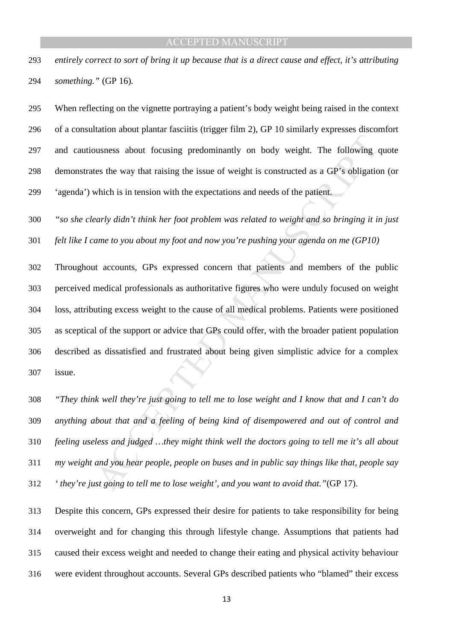*entirely correct to sort of bring it up because that is a direct cause and effect, it's attributing something."* (GP 16)*.* 

When reflecting on the vignette portraying a patient's body weight being raised in the context of a consultation about plantar fasciitis (trigger film 2), GP 10 similarly expresses discomfort and cautiousness about focusing predominantly on body weight. The following quote demonstrates the way that raising the issue of weight is constructed as a GP's obligation (or 'agenda') which is in tension with the expectations and needs of the patient.

*"so she clearly didn't think her foot problem was related to weight and so bringing it in just felt like I came to you about my foot and now you're pushing your agenda on me (GP10)* 

busness about focusing predominantly on body weight. The following eas the way that raising the issue of weight is constructed as a GP's obligation which is in tension with the expectations and needs of the patient.<br> *Ear* Throughout accounts, GPs expressed concern that patients and members of the public perceived medical professionals as authoritative figures who were unduly focused on weight loss, attributing excess weight to the cause of all medical problems. Patients were positioned as sceptical of the support or advice that GPs could offer, with the broader patient population described as dissatisfied and frustrated about being given simplistic advice for a complex issue.

*"They think well they're just going to tell me to lose weight and I know that and I can't do anything about that and a feeling of being kind of disempowered and out of control and feeling useless and judged …they might think well the doctors going to tell me it's all about my weight and you hear people, people on buses and in public say things like that, people say ' they're just going to tell me to lose weight', and you want to avoid that."*(GP 17).

Despite this concern, GPs expressed their desire for patients to take responsibility for being overweight and for changing this through lifestyle change. Assumptions that patients had caused their excess weight and needed to change their eating and physical activity behaviour were evident throughout accounts. Several GPs described patients who "blamed" their excess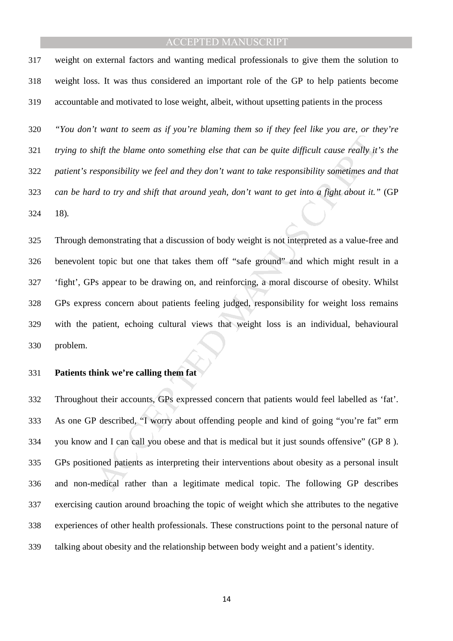weight on external factors and wanting medical professionals to give them the solution to weight loss. It was thus considered an important role of the GP to help patients become accountable and motivated to lose weight, albeit, without upsetting patients in the process

*"You don't want to seem as if you're blaming them so if they feel like you are, or they're trying to shift the blame onto something else that can be quite difficult cause really it's the patient's responsibility we feel and they don't want to take responsibility sometimes and that can be hard to try and shift that around yeah, don't want to get into a fight about it."* (GP 18)*.* 

*hift the blame onto something else that can be quite difficult cause really it*<br>exponsibility we feel and they don't want to take responsibility sometimes and<br>d to try and shift that around yeah, don't want to get into a Through demonstrating that a discussion of body weight is not interpreted as a value-free and benevolent topic but one that takes them off "safe ground" and which might result in a 'fight', GPs appear to be drawing on, and reinforcing, a moral discourse of obesity. Whilst GPs express concern about patients feeling judged, responsibility for weight loss remains with the patient, echoing cultural views that weight loss is an individual, behavioural problem.

#### **Patients think we're calling them fat**

Throughout their accounts, GPs expressed concern that patients would feel labelled as 'fat'. As one GP described, "I worry about offending people and kind of going "you're fat" erm you know and I can call you obese and that is medical but it just sounds offensive" (GP 8 ). GPs positioned patients as interpreting their interventions about obesity as a personal insult and non-medical rather than a legitimate medical topic. The following GP describes exercising caution around broaching the topic of weight which she attributes to the negative experiences of other health professionals. These constructions point to the personal nature of talking about obesity and the relationship between body weight and a patient's identity.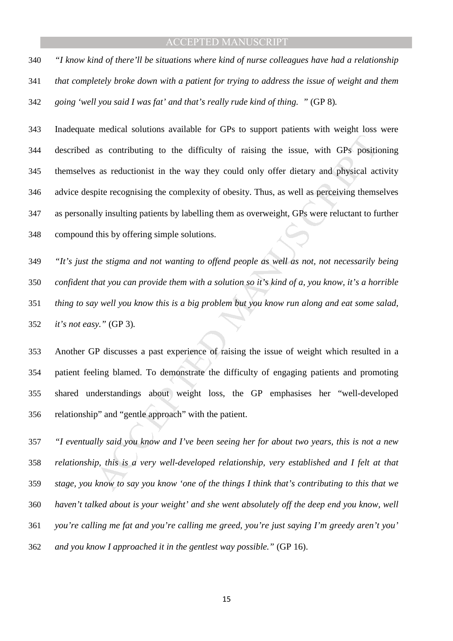*"I know kind of there'll be situations where kind of nurse colleagues have had a relationship that completely broke down with a patient for trying to address the issue of weight and them going 'well you said I was fat' and that's really rude kind of thing. "* (GP 8)*.* 

as contributing to the difficulty of raising the issue, with GPs positions as reductionist in the way they could only offer dietary and physical actric recognising the complexity of obesity. Thus, as well as perceiving th Inadequate medical solutions available for GPs to support patients with weight loss were described as contributing to the difficulty of raising the issue, with GPs positioning themselves as reductionist in the way they could only offer dietary and physical activity advice despite recognising the complexity of obesity. Thus, as well as perceiving themselves as personally insulting patients by labelling them as overweight, GPs were reluctant to further compound this by offering simple solutions.

*"It's just the stigma and not wanting to offend people as well as not, not necessarily being confident that you can provide them with a solution so it's kind of a, you know, it's a horrible thing to say well you know this is a big problem but you know run along and eat some salad, it's not easy."* (GP 3)*.* 

Another GP discusses a past experience of raising the issue of weight which resulted in a patient feeling blamed. To demonstrate the difficulty of engaging patients and promoting shared understandings about weight loss, the GP emphasises her "well-developed relationship" and "gentle approach" with the patient.

*"I eventually said you know and I've been seeing her for about two years, this is not a new relationship, this is a very well-developed relationship, very established and I felt at that stage, you know to say you know 'one of the things I think that's contributing to this that we haven't talked about is your weight' and she went absolutely off the deep end you know, well you're calling me fat and you're calling me greed, you're just saying I'm greedy aren't you' and you know I approached it in the gentlest way possible."* (GP 16).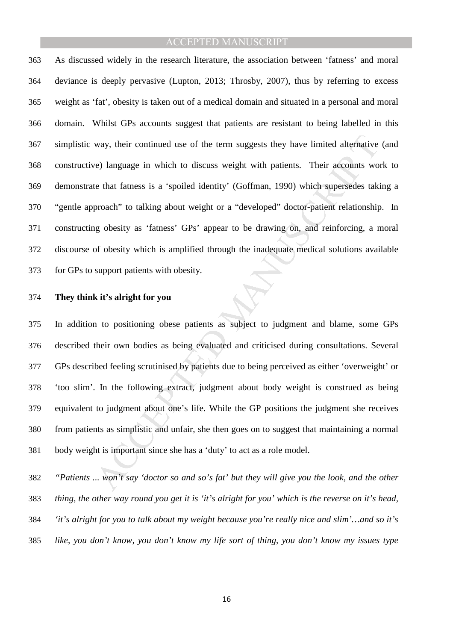way, their continued use of the term suggests they have limited alternative<br>ve) language in which to discuss weight with patients. Their accounts wo<br>te that fatness is a 'spoiled identity' (Goffman, 1990) which supersedes As discussed widely in the research literature, the association between 'fatness' and moral deviance is deeply pervasive (Lupton, 2013; Throsby, 2007), thus by referring to excess weight as 'fat', obesity is taken out of a medical domain and situated in a personal and moral domain. Whilst GPs accounts suggest that patients are resistant to being labelled in this simplistic way, their continued use of the term suggests they have limited alternative (and constructive) language in which to discuss weight with patients. Their accounts work to demonstrate that fatness is a 'spoiled identity' (Goffman, 1990) which supersedes taking a "gentle approach" to talking about weight or a "developed" doctor-patient relationship. In constructing obesity as 'fatness' GPs' appear to be drawing on, and reinforcing, a moral discourse of obesity which is amplified through the inadequate medical solutions available for GPs to support patients with obesity.

#### **They think it's alright for you**

In addition to positioning obese patients as subject to judgment and blame, some GPs described their own bodies as being evaluated and criticised during consultations. Several GPs described feeling scrutinised by patients due to being perceived as either 'overweight' or 'too slim'. In the following extract, judgment about body weight is construed as being equivalent to judgment about one's life. While the GP positions the judgment she receives from patients as simplistic and unfair, she then goes on to suggest that maintaining a normal body weight is important since she has a 'duty' to act as a role model.

*"Patients ... won't say 'doctor so and so's fat' but they will give you the look, and the other thing, the other way round you get it is 'it's alright for you' which is the reverse on it's head, 'it's alright for you to talk about my weight because you're really nice and slim'…and so it's like, you don't know, you don't know my life sort of thing, you don't know my issues type*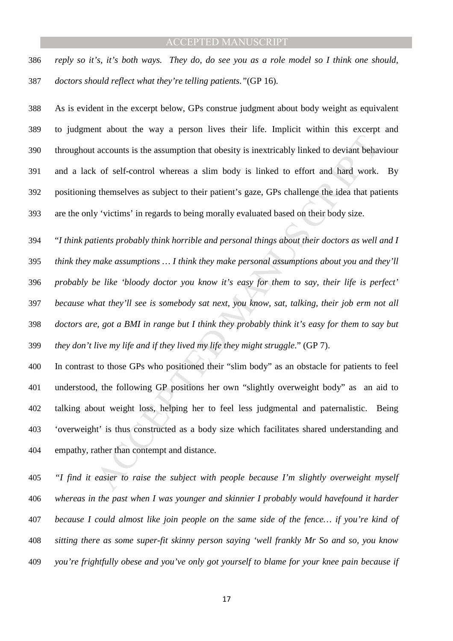*reply so it's, it's both ways. They do, do see you as a role model so I think one should, doctors should reflect what they're telling patients."*(GP 16)*.* 

As is evident in the excerpt below, GPs construe judgment about body weight as equivalent to judgment about the way a person lives their life. Implicit within this excerpt and throughout accounts is the assumption that obesity is inextricably linked to deviant behaviour and a lack of self-control whereas a slim body is linked to effort and hard work. By positioning themselves as subject to their patient's gaze, GPs challenge the idea that patients are the only 'victims' in regards to being morally evaluated based on their body size.

accounts is the assumption that obesity is inextricably linked to deviant behavior of self-control whereas a slim body is linked to effort and hard work, gthemselves as subject to their patient's gaze, GPs challenge the id "*I think patients probably think horrible and personal things about their doctors as well and I think they make assumptions … I think they make personal assumptions about you and they'll probably be like 'bloody doctor you know it's easy for them to say, their life is perfect' because what they'll see is somebody sat next, you know, sat, talking, their job erm not all doctors are, got a BMI in range but I think they probably think it's easy for them to say but they don't live my life and if they lived my life they might struggle*." (GP 7).

In contrast to those GPs who positioned their "slim body" as an obstacle for patients to feel understood, the following GP positions her own "slightly overweight body" as an aid to talking about weight loss, helping her to feel less judgmental and paternalistic. Being 'overweight' is thus constructed as a body size which facilitates shared understanding and empathy, rather than contempt and distance.

*"I find it easier to raise the subject with people because I'm slightly overweight myself whereas in the past when I was younger and skinnier I probably would havefound it harder because I could almost like join people on the same side of the fence… if you're kind of sitting there as some super-fit skinny person saying 'well frankly Mr So and so, you know you're frightfully obese and you've only got yourself to blame for your knee pain because if*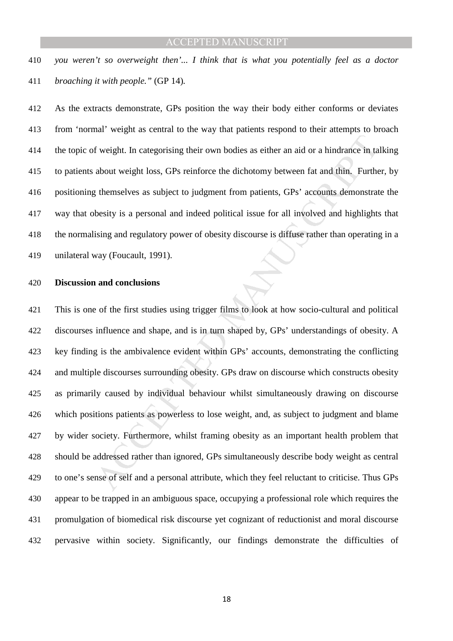*you weren't so overweight then'... I think that is what you potentially feel as a doctor broaching it with people."* (GP 14)*.* 

As the extracts demonstrate, GPs position the way their body either conforms or deviates from 'normal' weight as central to the way that patients respond to their attempts to broach the topic of weight. In categorising their own bodies as either an aid or a hindrance in talking to patients about weight loss, GPs reinforce the dichotomy between fat and thin. Further, by positioning themselves as subject to judgment from patients, GPs' accounts demonstrate the way that obesity is a personal and indeed political issue for all involved and highlights that the normalising and regulatory power of obesity discourse is diffuse rather than operating in a unilateral way (Foucault, 1991).

#### **Discussion and conclusions**

If weight. In categorising their own bodies as either an aid or a hindrance in ta<br>about weight loss, GPs reinforce the dichotomy between fat and thin, Furthe<br>g themselves as subject to judgment from patients, GPs' accounts This is one of the first studies using trigger films to look at how socio-cultural and political discourses influence and shape, and is in turn shaped by, GPs' understandings of obesity. A key finding is the ambivalence evident within GPs' accounts, demonstrating the conflicting and multiple discourses surrounding obesity. GPs draw on discourse which constructs obesity as primarily caused by individual behaviour whilst simultaneously drawing on discourse which positions patients as powerless to lose weight, and, as subject to judgment and blame by wider society. Furthermore, whilst framing obesity as an important health problem that should be addressed rather than ignored, GPs simultaneously describe body weight as central to one's sense of self and a personal attribute, which they feel reluctant to criticise. Thus GPs appear to be trapped in an ambiguous space, occupying a professional role which requires the promulgation of biomedical risk discourse yet cognizant of reductionist and moral discourse pervasive within society. Significantly, our findings demonstrate the difficulties of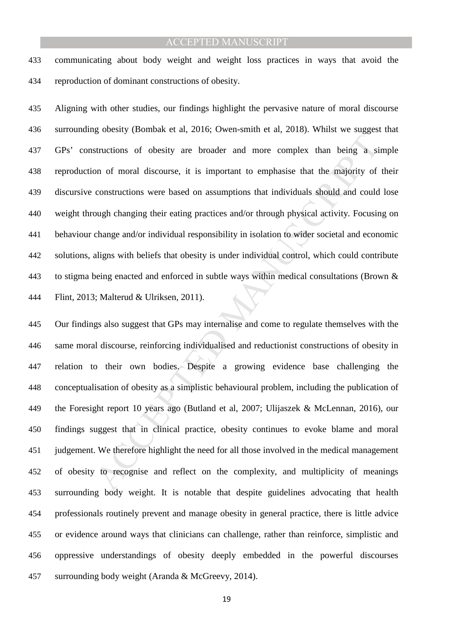communicating about body weight and weight loss practices in ways that avoid the reproduction of dominant constructions of obesity.

Aligning with other studies, our findings highlight the pervasive nature of moral discourse surrounding obesity (Bombak et al, 2016; Owen-smith et al, 2018). Whilst we suggest that GPs' constructions of obesity are broader and more complex than being a simple reproduction of moral discourse, it is important to emphasise that the majority of their discursive constructions were based on assumptions that individuals should and could lose weight through changing their eating practices and/or through physical activity. Focusing on behaviour change and/or individual responsibility in isolation to wider societal and economic solutions, aligns with beliefs that obesity is under individual control, which could contribute to stigma being enacted and enforced in subtle ways within medical consultations (Brown & Flint, 2013; Malterud & Ulriksen, 2011).

Extendion of obesity are broader and more complex than being a si<br>on of moral discourse, it is important to emphasise that the majority of<br>constructions were based on assumptions that individuals should and could<br>ough chan Our findings also suggest that GPs may internalise and come to regulate themselves with the same moral discourse, reinforcing individualised and reductionist constructions of obesity in relation to their own bodies. Despite a growing evidence base challenging the conceptualisation of obesity as a simplistic behavioural problem, including the publication of the Foresight report 10 years ago (Butland et al, 2007; Ulijaszek & McLennan, 2016), our findings suggest that in clinical practice, obesity continues to evoke blame and moral judgement. We therefore highlight the need for all those involved in the medical management of obesity to recognise and reflect on the complexity, and multiplicity of meanings surrounding body weight. It is notable that despite guidelines advocating that health professionals routinely prevent and manage obesity in general practice, there is little advice or evidence around ways that clinicians can challenge, rather than reinforce, simplistic and oppressive understandings of obesity deeply embedded in the powerful discourses surrounding body weight (Aranda & McGreevy, 2014).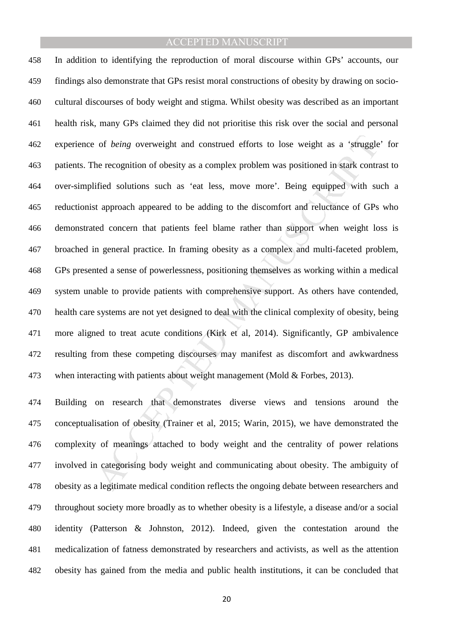of *being* overweight and construed efforts to lose weight as a 'struggle<br>the recognition of obesity as a complex problem was positioned in stark contra<br>ified solutions such as 'eat less, move more'. Being equipped with su In addition to identifying the reproduction of moral discourse within GPs' accounts, our findings also demonstrate that GPs resist moral constructions of obesity by drawing on socio-cultural discourses of body weight and stigma. Whilst obesity was described as an important health risk, many GPs claimed they did not prioritise this risk over the social and personal experience of *being* overweight and construed efforts to lose weight as a 'struggle' for patients. The recognition of obesity as a complex problem was positioned in stark contrast to over-simplified solutions such as 'eat less, move more'. Being equipped with such a reductionist approach appeared to be adding to the discomfort and reluctance of GPs who demonstrated concern that patients feel blame rather than support when weight loss is broached in general practice. In framing obesity as a complex and multi-faceted problem, GPs presented a sense of powerlessness, positioning themselves as working within a medical system unable to provide patients with comprehensive support. As others have contended, health care systems are not yet designed to deal with the clinical complexity of obesity, being more aligned to treat acute conditions (Kirk et al, 2014). Significantly, GP ambivalence resulting from these competing discourses may manifest as discomfort and awkwardness 473 when interacting with patients about weight management (Mold & Forbes, 2013).

Building on research that demonstrates diverse views and tensions around the conceptualisation of obesity (Trainer et al, 2015; Warin, 2015), we have demonstrated the complexity of meanings attached to body weight and the centrality of power relations involved in categorising body weight and communicating about obesity. The ambiguity of obesity as a legitimate medical condition reflects the ongoing debate between researchers and throughout society more broadly as to whether obesity is a lifestyle, a disease and/or a social identity (Patterson & Johnston, 2012). Indeed, given the contestation around the medicalization of fatness demonstrated by researchers and activists, as well as the attention obesity has gained from the media and public health institutions, it can be concluded that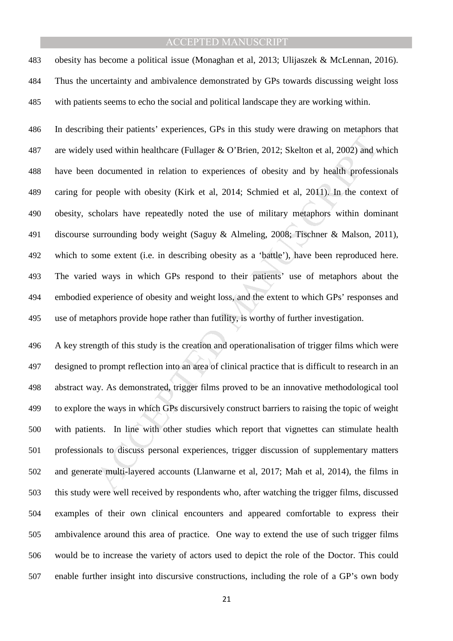obesity has become a political issue (Monaghan et al, 2013; Ulijaszek & McLennan, 2016). Thus the uncertainty and ambivalence demonstrated by GPs towards discussing weight loss with patients seems to echo the social and political landscape they are working within.

used within healthcare (Fullager & O'Brien, 2012; Skelton et al, 2002) and w<br>documented in relation to experiences of obesity and by health professio<br>people with obesity (Kirk et al, 2014; Schmied et al, 2011). In the con In describing their patients' experiences, GPs in this study were drawing on metaphors that are widely used within healthcare (Fullager & O'Brien, 2012; Skelton et al, 2002) and which have been documented in relation to experiences of obesity and by health professionals caring for people with obesity (Kirk et al, 2014; Schmied et al, 2011). In the context of obesity, scholars have repeatedly noted the use of military metaphors within dominant discourse surrounding body weight (Saguy & Almeling, 2008; Tischner & Malson, 2011), which to some extent (i.e. in describing obesity as a 'battle'), have been reproduced here. The varied ways in which GPs respond to their patients' use of metaphors about the embodied experience of obesity and weight loss, and the extent to which GPs' responses and use of metaphors provide hope rather than futility, is worthy of further investigation.

A key strength of this study is the creation and operationalisation of trigger films which were designed to prompt reflection into an area of clinical practice that is difficult to research in an abstract way. As demonstrated, trigger films proved to be an innovative methodological tool to explore the ways in which GPs discursively construct barriers to raising the topic of weight with patients. In line with other studies which report that vignettes can stimulate health professionals to discuss personal experiences, trigger discussion of supplementary matters and generate multi-layered accounts (Llanwarne et al, 2017; Mah et al, 2014), the films in this study were well received by respondents who, after watching the trigger films, discussed examples of their own clinical encounters and appeared comfortable to express their ambivalence around this area of practice. One way to extend the use of such trigger films would be to increase the variety of actors used to depict the role of the Doctor. This could enable further insight into discursive constructions, including the role of a GP's own body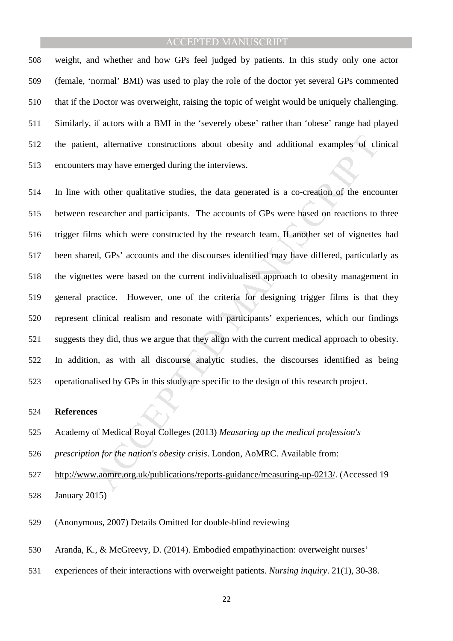weight, and whether and how GPs feel judged by patients. In this study only one actor (female, 'normal' BMI) was used to play the role of the doctor yet several GPs commented that if the Doctor was overweight, raising the topic of weight would be uniquely challenging. Similarly, if actors with a BMI in the 'severely obese' rather than 'obese' range had played the patient, alternative constructions about obesity and additional examples of clinical encounters may have emerged during the interviews.

t, alternative constructions about obesity and additional examples of climay have emerged during the interviews.<br>
th other qualitative studies, the data generated is a co-creation of the encosearcher and participants. The In line with other qualitative studies, the data generated is a co-creation of the encounter between researcher and participants. The accounts of GPs were based on reactions to three trigger films which were constructed by the research team. If another set of vignettes had been shared, GPs' accounts and the discourses identified may have differed, particularly as the vignettes were based on the current individualised approach to obesity management in general practice. However, one of the criteria for designing trigger films is that they represent clinical realism and resonate with participants' experiences, which our findings suggests they did, thus we argue that they align with the current medical approach to obesity. In addition, as with all discourse analytic studies, the discourses identified as being operationalised by GPs in this study are specific to the design of this research project.

#### **References**

- Academy of Medical Royal Colleges (2013) *Measuring up the medical profession's*
- *prescription for the nation's obesity crisis*. London, AoMRC. Available from:

http://www.aomrc.org.uk/publications/reports-guidance/measuring-up-0213/. (Accessed 19

January 2015)

- (Anonymous, 2007) Details Omitted for double-blind reviewing
- Aranda, K., & McGreevy, D. (2014). Embodied empathyinaction: overweight nurses'
- experiences of their interactions with overweight patients. *Nursing inquiry*. 21(1), 30-38.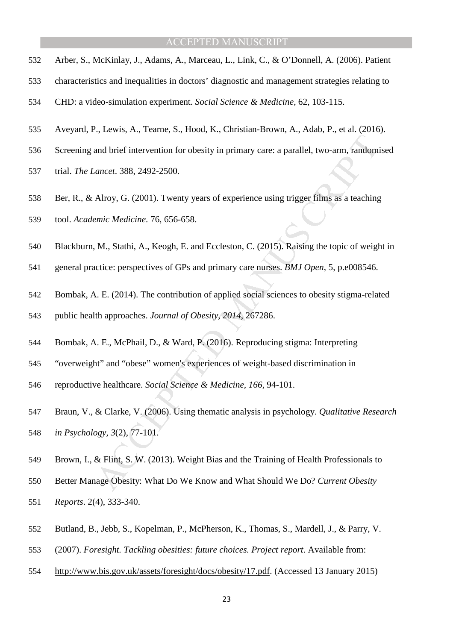- Arber, S., McKinlay, J., Adams, A., Marceau, L., Link, C., & O'Donnell, A. (2006). Patient
- characteristics and inequalities in doctors' diagnostic and management strategies relating to
- CHD: a video-simulation experiment. *Social Science & Medicine*, 62, 103-115.
- Aveyard, P., Lewis, A., Tearne, S., Hood, K., Christian-Brown, A., Adab, P., et al. (2016).
- Screening and brief intervention for obesity in primary care: a parallel, two-arm, randomised
- trial. *The Lancet*. 388, 2492-2500.
- Ber, R., & Alroy, G. (2001). Twenty years of experience using trigger films as a teaching
- tool. *Academic Medicine*. 76, 656-658.
- Blackburn, M., Stathi, A., Keogh, E. and Eccleston, C. (2015). Raising the topic of weight in
- general practice: perspectives of GPs and primary care nurses. *BMJ Open*, 5, p.e008546.
- Bombak, A. E. (2014). The contribution of applied social sciences to obesity stigma-related
- public health approaches. *Journal of Obesity, 2014*, 267286.
- Bombak, A. E., McPhail, D., & Ward, P. (2016). Reproducing stigma: Interpreting
- "overweight" and "obese" women's experiences of weight-based discrimination in
- reproductive healthcare. *Social Science & Medicine, 166*, 94-101.
- ancer. 388, 2492-2500.<br> *ancer.* 388, 2492-2500.<br>
Alroy, G. (2001). Twenty years of experience using trigger films as a teaching<br> *emic Medicine.* 76, 656-658.<br>
M., Stathi, A., Keogh, E. and Eccleston, C. (2015). Raising t Braun, V., & Clarke, V. (2006). Using thematic analysis in psychology. *Qualitative Research in Psychology, 3*(2), 77-101.
- Brown, I., & Flint, S. W. (2013). Weight Bias and the Training of Health Professionals to
- Better Manage Obesity: What Do We Know and What Should We Do? *Current Obesity*
- *Reports*. 2(4), 333-340.
- Butland, B., Jebb, S., Kopelman, P., McPherson, K., Thomas, S., Mardell, J., & Parry, V.
- (2007). *Foresight. Tackling obesities: future choices. Project report*. Available from:
- http://www.bis.gov.uk/assets/foresight/docs/obesity/17.pdf. (Accessed 13 January 2015)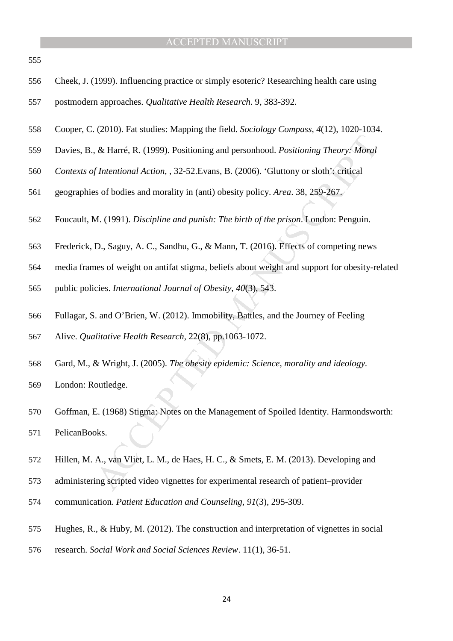- 
- Cheek, J. (1999). Influencing practice or simply esoteric? Researching health care using
- postmodern approaches. *Qualitative Health Research*. 9, 383-392.
- Cooper, C. (2010). Fat studies: Mapping the field. *Sociology Compass, 4*(12), 1020-1034.
- Davies, B., & Harré, R. (1999). Positioning and personhood. *Positioning Theory: Moral*
- *Contexts of Intentional Action,* , 32-52.Evans, B. (2006). 'Gluttony or sloth': critical
- geographies of bodies and morality in (anti) obesity policy. *Area*. 38, 259-267.
- Foucault, M. (1991). *Discipline and punish: The birth of the prison*. London: Penguin.
- Frederick, D., Saguy, A. C., Sandhu, G., & Mann, T. (2016). Effects of competing news
- media frames of weight on antifat stigma, beliefs about weight and support for obesity-related
- public policies. *International Journal of Obesity, 40*(3), 543.
- Fullagar, S. and O'Brien, W. (2012). Immobility, Battles, and the Journey of Feeling Alive. *Qualitative Health Research*, 22(8), pp.1063-1072.
- Gard, M., & Wright, J. (2005). *The obesity epidemic: Science, morality and ideology.*
- London: Routledge.
- *k* Harré, R. (1999). Positioning and personhood. *Positioning Theory: Moral*<br> *A fintentional Action*, , 32-52. Evans, B. (2006). 'Gluttony or sloth': critical<br>
so f bodies and morality in (anti) obesity policy. Area. 38, Goffman, E. (1968) Stigma: Notes on the Management of Spoiled Identity. Harmondsworth: PelicanBooks.
- Hillen, M. A., van Vliet, L. M., de Haes, H. C., & Smets, E. M. (2013). Developing and
- administering scripted video vignettes for experimental research of patient–provider
- communication. *Patient Education and Counseling, 91*(3), 295-309.
- Hughes, R., & Huby, M. (2012). The construction and interpretation of vignettes in social
- research. *Social Work and Social Sciences Review*. 11(1), 36-51.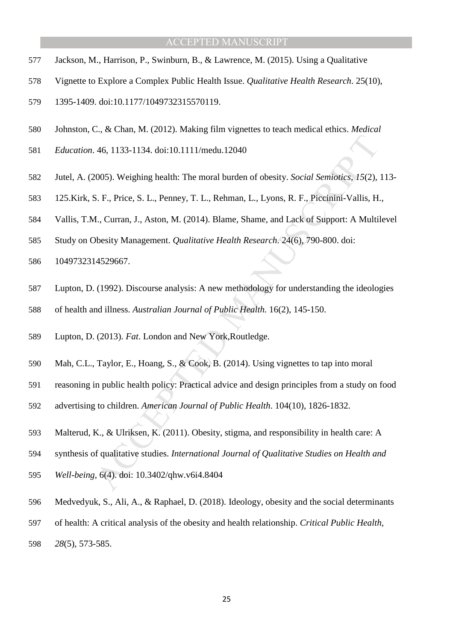- Jackson, M., Harrison, P., Swinburn, B., & Lawrence, M. (2015). Using a Qualitative
- Vignette to Explore a Complex Public Health Issue. *Qualitative Health Research*. 25(10),
- 1395-1409. doi:10.1177/1049732315570119.
- Johnston, C., & Chan, M. (2012). Making film vignettes to teach medical ethics. *Medical*
- *Education*. 46, 1133-1134. doi:10.1111/medu.12040
- 46, 1133-1134. doi:10.1111/medu.12040<br>
2005). Weighing health: The moral burden of obesity. *Social Semiotics*, 15(2),<br>
3. F., Price, S. L., Penney, T. L., Rehman, L., Lyons, R. F., Piceinini-Vallis, H.<br>
4., Curran, J., As Jutel, A. (2005). Weighing health: The moral burden of obesity. *Social Semiotics, 15*(2), 113-
- 125.Kirk, S. F., Price, S. L., Penney, T. L., Rehman, L., Lyons, R. F., Piccinini-Vallis, H.,
- Vallis, T.M., Curran, J., Aston, M. (2014). Blame, Shame, and Lack of Support: A Multilevel
- Study on Obesity Management. *Qualitative Health Research*. 24(6), 790-800. doi:
- 1049732314529667.
- Lupton, D. (1992). Discourse analysis: A new methodology for understanding the ideologies
- of health and illness. *Australian Journal of Public Health.* 16(2), 145-150.
- Lupton, D. (2013). *Fat*. London and New York,Routledge.
- Mah, C.L., Taylor, E., Hoang, S., & Cook, B. (2014). Using vignettes to tap into moral
- reasoning in public health policy: Practical advice and design principles from a study on food
- advertising to children. *American Journal of Public Health*. 104(10), 1826-1832.
- Malterud, K., & Ulriksen, K. (2011). Obesity, stigma, and responsibility in health care: A
- synthesis of qualitative studies. *International Journal of Qualitative Studies on Health and*
- *Well-being*, 6(4). doi: 10.3402/qhw.v6i4.8404
- Medvedyuk, S., Ali, A., & Raphael, D. (2018). Ideology, obesity and the social determinants
- of health: A critical analysis of the obesity and health relationship. *Critical Public Health,*
- *28*(5), 573-585.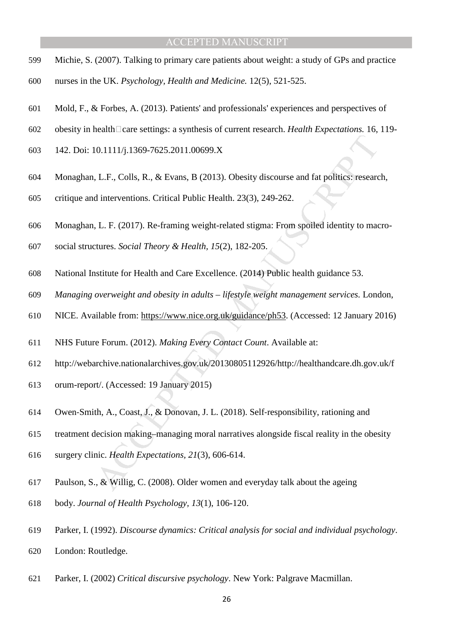- Michie, S. (2007). Talking to primary care patients about weight: a study of GPs and practice
- nurses in the UK. *Psychology, Health and Medicine.* 12(5), 521-525.
- Mold, F., & Forbes, A. (2013). Patients' and professionals' experiences and perspectives of
- 602 obesity in health care settings: a synthesis of current research. *Health Expectations*. 16, 119-
- 142. Doi: 10.1111/j.1369-7625.2011.00699.X
- Monaghan, L.F., Colls, R., & Evans, B (2013). Obesity discourse and fat politics: research,
- critique and interventions. Critical Public Health. 23(3), 249-262.
- 10.1111/j.1369-7625.2011.00699.X<br>
1.L.F., Colls, R., & Evans, B (2013). Obesity discourse and fat politics: researce<br>
dinterventions. Critical Public Health. 23(3), 249-262.<br>
1.L.F. (2017). Re-framing weight-related stigm Monaghan, L. F. (2017). Re-framing weight-related stigma: From spoiled identity to macro-
- social structures. *Social Theory & Health, 15*(2), 182-205.
- National Institute for Health and Care Excellence. (2014) Public health guidance 53.
- *Managing overweight and obesity in adults lifestyle weight management services.* London,
- NICE. Available from: https://www.nice.org.uk/guidance/ph53. (Accessed: 12 January 2016)
- NHS Future Forum. (2012). *Making Every Contact Count*. Available at:
- http://webarchive.nationalarchives.gov.uk/20130805112926/http://healthandcare.dh.gov.uk/f
- orum-report/. (Accessed: 19 January 2015)
- Owen‐Smith, A., Coast, J., & Donovan, J. L. (2018). Self‐responsibility, rationing and
- treatment decision making–managing moral narratives alongside fiscal reality in the obesity
- surgery clinic. *Health Expectations, 21*(3), 606-614.
- Paulson, S., & Willig, C. (2008). Older women and everyday talk about the ageing
- body. *Journal of Health Psychology, 13*(1), 106-120.
- Parker, I. (1992). *Discourse dynamics: Critical analysis for social and individual psychology*. London: Routledge.
- Parker, I. (2002) *Critical discursive psychology*. New York: Palgrave Macmillan.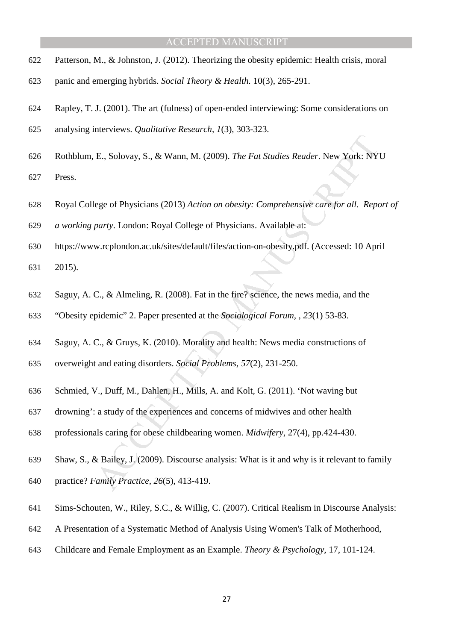- Patterson, M., & Johnston, J. (2012). Theorizing the obesity epidemic: Health crisis, moral
- panic and emerging hybrids. *Social Theory & Health.* 10(3), 265-291.
- Rapley, T. J. (2001). The art (fulness) of open-ended interviewing: Some considerations on
- analysing interviews. *Qualitative Research, 1*(3), 303-323.
- Rothblum, E., Solovay, S., & Wann, M. (2009). *The Fat Studies Reader*. New York: NYU

Press.

- Royal College of Physicians (2013) *Action on obesity: Comprehensive care for all. Report of*
- *a working party*. London: Royal College of Physicians. Available at:
- https://www.rcplondon.ac.uk/sites/default/files/action-on-obesity.pdf. (Accessed: 10 April

2015).

- Saguy, A. C., & Almeling, R. (2008). Fat in the fire? science, the news media, and the
- "Obesity epidemic" 2. Paper presented at the *Sociological Forum, , 23*(1) 53-83.
- Saguy, A. C., & Gruys, K. (2010). Morality and health: News media constructions of
- overweight and eating disorders. *Social Problems, 57*(2), 231-250.
- Schmied, V., Duff, M., Dahlen, H., Mills, A. and Kolt, G. (2011). 'Not waving but
- drowning': a study of the experiences and concerns of midwives and other health
- professionals caring for obese childbearing women. *Midwifery*, 27(4), pp.424-430.
- E., Solovay, S., & Wann, M. (2009). *The Fat Studies Reader*. New York: NY<br>ege of Physicians (2013) *Action on obestiy: Comprehensive care for all. Repe*<br>*party.* London: Royal College of Physicians. Available at:<br>w.rcplon Shaw, S., & Bailey, J. (2009). Discourse analysis: What is it and why is it relevant to family practice? *Family Practice, 26*(5), 413-419.
- Sims-Schouten, W., Riley, S.C., & Willig, C. (2007). Critical Realism in Discourse Analysis:
- A Presentation of a Systematic Method of Analysis Using Women's Talk of Motherhood,
- Childcare and Female Employment as an Example. *Theory & Psychology*, 17, 101-124.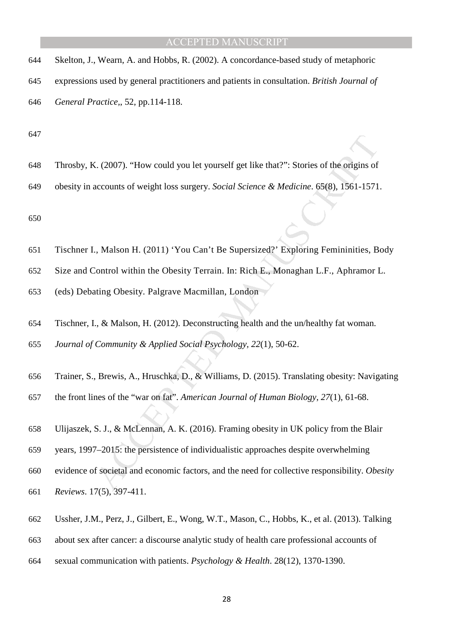- Skelton, J., Wearn, A. and Hobbs, R. (2002). A concordance-based study of metaphoric expressions used by general practitioners and patients in consultation. *British Journal of*
- *General Practice,*, 52, pp.114-118.

- Throsby, K. (2007). "How could you let yourself get like that?": Stories of the origins of
- obesity in accounts of weight loss surgery. *Social Science & Medicine*. 65(8), 1561-1571.

- Tischner I., Malson H. (2011) 'You Can't Be Supersized?' Exploring Femininities, Body
- Size and Control within the Obesity Terrain. In: Rich E., Monaghan L.F., Aphramor L.
- (eds) Debating Obesity. Palgrave Macmillan, London
- Tischner, I., & Malson, H. (2012). Deconstructing health and the un/healthy fat woman.
- *Journal of Community & Applied Social Psychology, 22*(1), 50-62.
- Trainer, S., Brewis, A., Hruschka, D., & Williams, D. (2015). Translating obesity: Navigating
- the front lines of the "war on fat". *American Journal of Human Biology, 27*(1), 61-68.
- Ulijaszek, S. J., & McLennan, A. K. (2016). Framing obesity in UK policy from the Blair
- years, 1997–2015: the persistence of individualistic approaches despite overwhelming
- C. (2007). "How could you let yourself get like that?": Stories of the origins of<br>accounts of weight loss surgery. *Social Science & Medicine*. 65(8), 1561-1571<br>
., Malson H. (2011) 'You Can't Be Supersized?' Exploring Fe evidence of societal and economic factors, and the need for collective responsibility. *Obesity*
- *Reviews*. 17(5), 397-411.
- Ussher, J.M., Perz, J., Gilbert, E., Wong, W.T., Mason, C., Hobbs, K., et al. (2013). Talking
- about sex after cancer: a discourse analytic study of health care professional accounts of
- sexual communication with patients. *Psychology & Health*. 28(12), 1370-1390.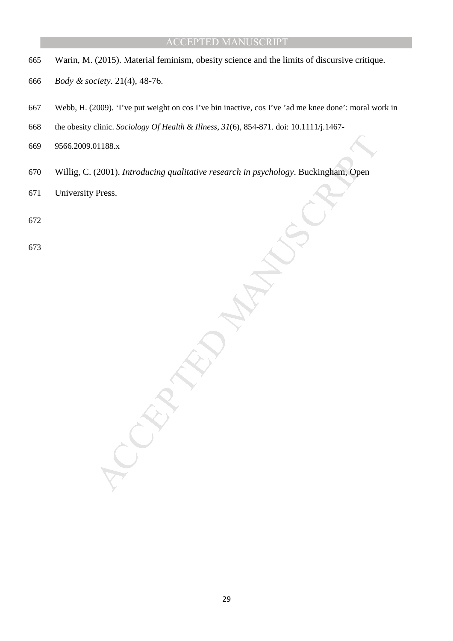- 665 Warin, M. (2015). Material feminism, obesity science and the limits of discursive critique.
- 666 *Body & society*. 21(4), 48-76.
- 667 Webb, H. (2009). 'I've put weight on cos I've bin inactive, cos I've 'ad me knee done': moral work in
- 668 the obesity clinic. *Sociology Of Health & Illness*, *31*(6), 854-871. doi: 10.1111/j.1467-
- 669 9566.2009.01188.x
- DIT88.x<br>(2001). Introducing qualitative research in psychology. Buckingham. Open<br>Press.<br>Accepted:<br>Accepted: 670 Willig, C. (2001). *Introducing qualitative research in psychology*. Buckingham, Open
- 671 University Press.
- 672
- 673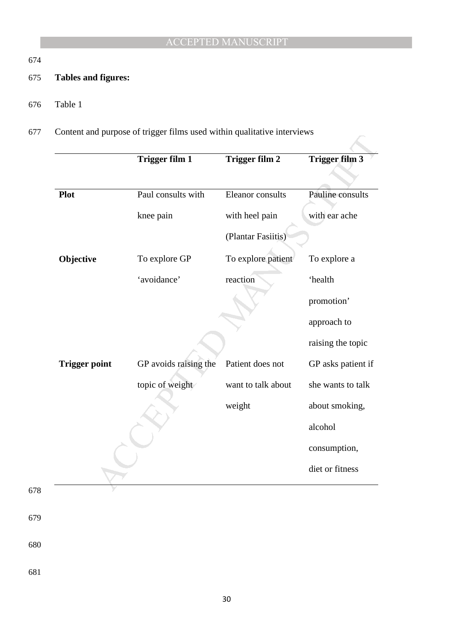# 674

678

679

680

681

# 675 **Tables and figures:**

- 676 Table 1
- 677 Content and purpose of trigger films used within qualitative interviews

|                      | <b>Trigger film 1</b> | <b>Trigger film 2</b> | <b>Trigger film 3</b> |
|----------------------|-----------------------|-----------------------|-----------------------|
| <b>Plot</b>          | Paul consults with    | Eleanor consults      | Pauline consults      |
|                      | knee pain             | with heel pain        | with ear ache         |
|                      |                       | (Plantar Fasiitis)    |                       |
| Objective            | To explore GP         | To explore patient    | To explore a          |
|                      | 'avoidance'           | reaction              | 'health               |
|                      |                       |                       | promotion'            |
|                      |                       |                       | approach to           |
|                      |                       |                       | raising the topic     |
| <b>Trigger point</b> | GP avoids raising the | Patient does not      | GP asks patient if    |
|                      | topic of weight       | want to talk about    | she wants to talk     |
|                      |                       | weight                | about smoking,        |
|                      |                       |                       | alcohol               |
|                      |                       |                       | consumption,          |
|                      |                       |                       | diet or fitness       |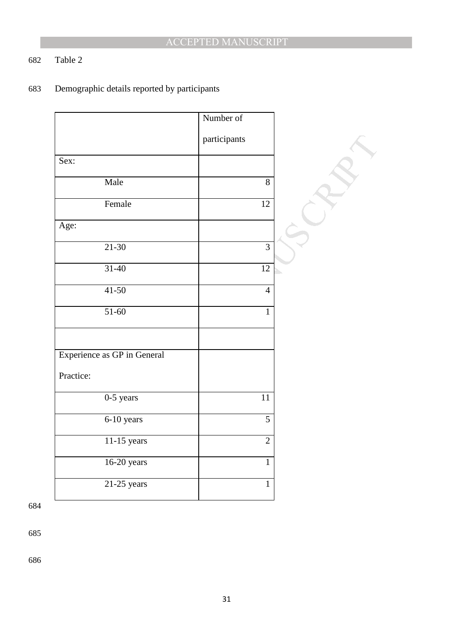# 682 Table 2

# 683 Demographic details reported by participants

|                             | Number of       |  |
|-----------------------------|-----------------|--|
|                             | participants    |  |
| Sex:                        |                 |  |
| Male                        | 8               |  |
| Female                      | 12              |  |
| Age:                        |                 |  |
| $21 - 30$                   | $\overline{3}$  |  |
|                             |                 |  |
| $31 - 40$                   | $\overline{12}$ |  |
| $41-50$                     | $\overline{4}$  |  |
| $51-60$                     | $\mathbf{1}$    |  |
|                             |                 |  |
| Experience as GP in General |                 |  |
| Practice:                   |                 |  |
| $0-5$ years                 | 11              |  |
| 6-10 years                  | $\overline{5}$  |  |
| $11-15$ years               | $\overline{2}$  |  |
| 16-20 years                 | $\mathbf{1}$    |  |
| $21-25$ years               | $\mathbf{1}$    |  |

684

685

686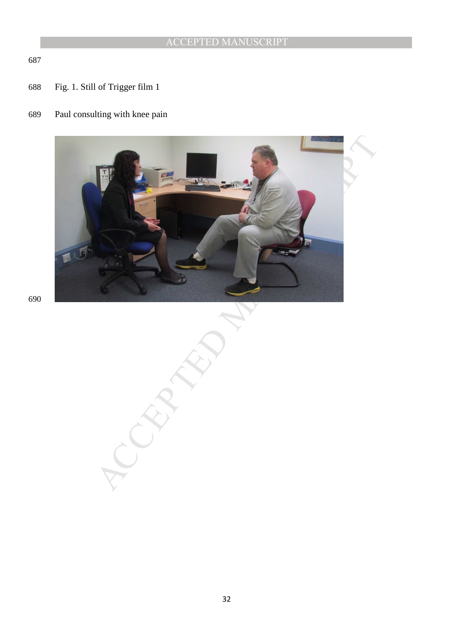Fig. 1. Still of Trigger film 1

# Paul consulting with knee pain

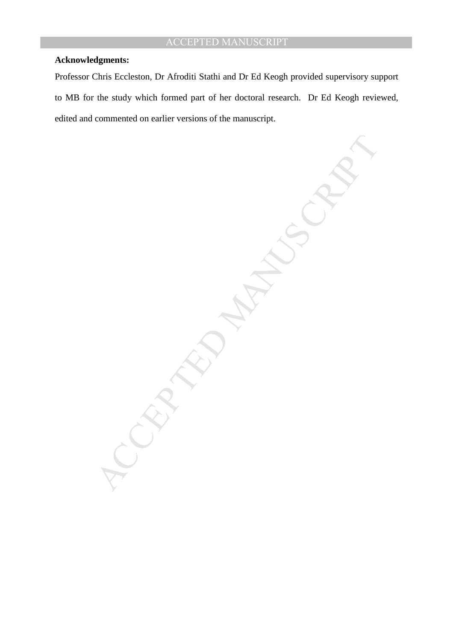#### **Acknowledgments:**

Professor Chris Eccleston, Dr Afroditi Stathi and Dr Ed Keogh provided supervisory support to MB for the study which formed part of her doctoral research. Dr Ed Keogh reviewed, edited and commented on earlier versions of the manuscript.

MANUSCRIPT